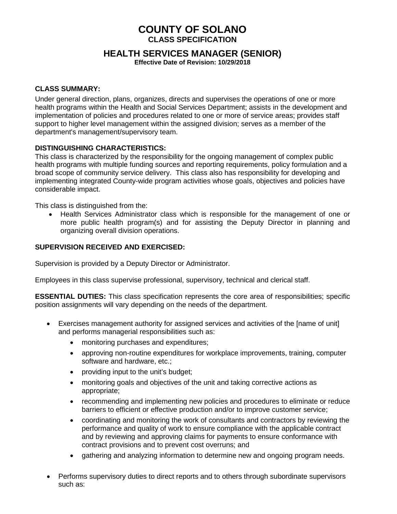# **COUNTY OF SOLANO CLASS SPECIFICATION**

# **HEALTH SERVICES MANAGER (SENIOR)**

**Effective Date of Revision: 10/29/2018**

#### **CLASS SUMMARY:**

Under general direction, plans, organizes, directs and supervises the operations of one or more health programs within the Health and Social Services Department; assists in the development and implementation of policies and procedures related to one or more of service areas; provides staff support to higher level management within the assigned division; serves as a member of the department's management/supervisory team.

#### **DISTINGUISHING CHARACTERISTICS:**

This class is characterized by the responsibility for the ongoing management of complex public health programs with multiple funding sources and reporting requirements, policy formulation and a broad scope of community service delivery. This class also has responsibility for developing and implementing integrated County-wide program activities whose goals, objectives and policies have considerable impact.

This class is distinguished from the:

• Health Services Administrator class which is responsible for the management of one or more public health program(s) and for assisting the Deputy Director in planning and organizing overall division operations.

#### **SUPERVISION RECEIVED AND EXERCISED:**

Supervision is provided by a Deputy Director or Administrator.

Employees in this class supervise professional, supervisory, technical and clerical staff.

**ESSENTIAL DUTIES:** This class specification represents the core area of responsibilities; specific position assignments will vary depending on the needs of the department.

- Exercises management authority for assigned services and activities of the [name of unit] and performs managerial responsibilities such as:
	- monitoring purchases and expenditures;
	- approving non-routine expenditures for workplace improvements, training, computer software and hardware, etc.;
	- providing input to the unit's budget;
	- monitoring goals and objectives of the unit and taking corrective actions as appropriate;
	- recommending and implementing new policies and procedures to eliminate or reduce barriers to efficient or effective production and/or to improve customer service;
	- coordinating and monitoring the work of consultants and contractors by reviewing the performance and quality of work to ensure compliance with the applicable contract and by reviewing and approving claims for payments to ensure conformance with contract provisions and to prevent cost overruns; and
	- gathering and analyzing information to determine new and ongoing program needs.
- Performs supervisory duties to direct reports and to others through subordinate supervisors such as: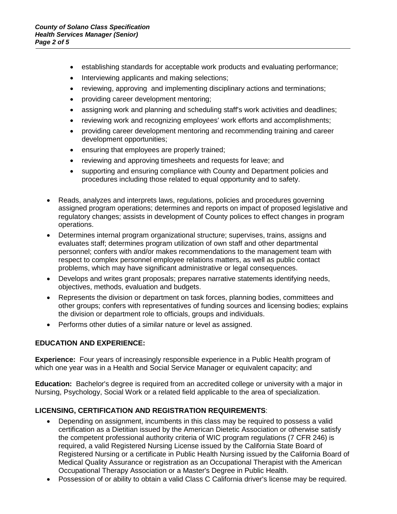- establishing standards for acceptable work products and evaluating performance;
- Interviewing applicants and making selections;
- reviewing, approving and implementing disciplinary actions and terminations;
- providing career development mentoring;
- assigning work and planning and scheduling staff's work activities and deadlines;
- reviewing work and recognizing employees' work efforts and accomplishments;
- providing career development mentoring and recommending training and career development opportunities;
- ensuring that employees are properly trained;
- reviewing and approving timesheets and requests for leave; and
- supporting and ensuring compliance with County and Department policies and procedures including those related to equal opportunity and to safety.
- Reads, analyzes and interprets laws, regulations, policies and procedures governing assigned program operations; determines and reports on impact of proposed legislative and regulatory changes; assists in development of County polices to effect changes in program operations.
- Determines internal program organizational structure; supervises, trains, assigns and evaluates staff; determines program utilization of own staff and other departmental personnel; confers with and/or makes recommendations to the management team with respect to complex personnel employee relations matters, as well as public contact problems, which may have significant administrative or legal consequences.
- Develops and writes grant proposals; prepares narrative statements identifying needs, objectives, methods, evaluation and budgets.
- Represents the division or department on task forces, planning bodies, committees and other groups; confers with representatives of funding sources and licensing bodies; explains the division or department role to officials, groups and individuals.
- Performs other duties of a similar nature or level as assigned.

### **EDUCATION AND EXPERIENCE:**

**Experience:** Four years of increasingly responsible experience in a Public Health program of which one year was in a Health and Social Service Manager or equivalent capacity; and

**Education:** Bachelor's degree is required from an accredited college or university with a major in Nursing, Psychology, Social Work or a related field applicable to the area of specialization.

## **LICENSING, CERTIFICATION AND REGISTRATION REQUIREMENTS**:

- Depending on assignment, incumbents in this class may be required to possess a valid certification as a Dietitian issued by the American Dietetic Association or otherwise satisfy the competent professional authority criteria of WIC program regulations (7 CFR 246) is required, a valid Registered Nursing License issued by the California State Board of Registered Nursing or a certificate in Public Health Nursing issued by the California Board of Medical Quality Assurance or registration as an Occupational Therapist with the American Occupational Therapy Association or a Master's Degree in Public Health.
- Possession of or ability to obtain a valid Class C California driver's license may be required.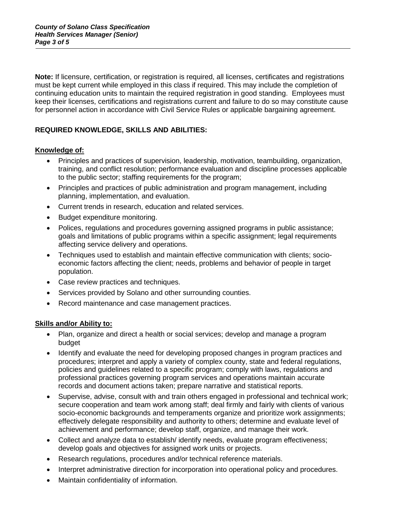**Note:** If licensure, certification, or registration is required, all licenses, certificates and registrations must be kept current while employed in this class if required. This may include the completion of continuing education units to maintain the required registration in good standing. Employees must keep their licenses, certifications and registrations current and failure to do so may constitute cause for personnel action in accordance with Civil Service Rules or applicable bargaining agreement.

# **REQUIRED KNOWLEDGE, SKILLS AND ABILITIES:**

### **Knowledge of:**

- Principles and practices of supervision, leadership, motivation, teambuilding, organization, training, and conflict resolution; performance evaluation and discipline processes applicable to the public sector; staffing requirements for the program;
- Principles and practices of public administration and program management, including planning, implementation, and evaluation.
- Current trends in research, education and related services.
- Budget expenditure monitoring.
- Polices, regulations and procedures governing assigned programs in public assistance; goals and limitations of public programs within a specific assignment; legal requirements affecting service delivery and operations.
- Techniques used to establish and maintain effective communication with clients; socioeconomic factors affecting the client; needs, problems and behavior of people in target population.
- Case review practices and techniques.
- Services provided by Solano and other surrounding counties.
- Record maintenance and case management practices.

### **Skills and/or Ability to:**

- Plan, organize and direct a health or social services; develop and manage a program budget
- Identify and evaluate the need for developing proposed changes in program practices and procedures; interpret and apply a variety of complex county, state and federal regulations, policies and guidelines related to a specific program; comply with laws, regulations and professional practices governing program services and operations maintain accurate records and document actions taken; prepare narrative and statistical reports.
- Supervise, advise, consult with and train others engaged in professional and technical work; secure cooperation and team work among staff; deal firmly and fairly with clients of various socio-economic backgrounds and temperaments organize and prioritize work assignments; effectively delegate responsibility and authority to others; determine and evaluate level of achievement and performance; develop staff, organize, and manage their work.
- Collect and analyze data to establish/ identify needs, evaluate program effectiveness; develop goals and objectives for assigned work units or projects.
- Research regulations, procedures and/or technical reference materials.
- Interpret administrative direction for incorporation into operational policy and procedures.
- Maintain confidentiality of information.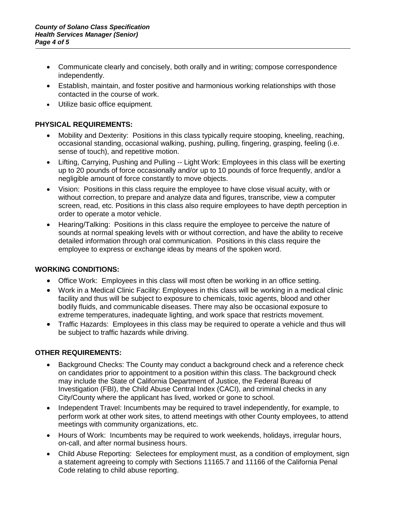- Communicate clearly and concisely, both orally and in writing; compose correspondence independently.
- Establish, maintain, and foster positive and harmonious working relationships with those contacted in the course of work.
- Utilize basic office equipment.

### **PHYSICAL REQUIREMENTS:**

- Mobility and Dexterity: Positions in this class typically require stooping, kneeling, reaching, occasional standing, occasional walking, pushing, pulling, fingering, grasping, feeling (i.e. sense of touch), and repetitive motion.
- Lifting, Carrying, Pushing and Pulling -- Light Work: Employees in this class will be exerting up to 20 pounds of force occasionally and/or up to 10 pounds of force frequently, and/or a negligible amount of force constantly to move objects.
- Vision: Positions in this class require the employee to have close visual acuity, with or without correction, to prepare and analyze data and figures, transcribe, view a computer screen, read, etc. Positions in this class also require employees to have depth perception in order to operate a motor vehicle.
- Hearing/Talking: Positions in this class require the employee to perceive the nature of sounds at normal speaking levels with or without correction, and have the ability to receive detailed information through oral communication. Positions in this class require the employee to express or exchange ideas by means of the spoken word.

### **WORKING CONDITIONS:**

- Office Work: Employees in this class will most often be working in an office setting.
- Work in a Medical Clinic Facility: Employees in this class will be working in a medical clinic facility and thus will be subject to exposure to chemicals, toxic agents, blood and other bodily fluids, and communicable diseases. There may also be occasional exposure to extreme temperatures, inadequate lighting, and work space that restricts movement.
- Traffic Hazards: Employees in this class may be required to operate a vehicle and thus will be subject to traffic hazards while driving.

## **OTHER REQUIREMENTS:**

- Background Checks: The County may conduct a background check and a reference check on candidates prior to appointment to a position within this class. The background check may include the State of California Department of Justice, the Federal Bureau of Investigation (FBI), the Child Abuse Central Index (CACI), and criminal checks in any City/County where the applicant has lived, worked or gone to school.
- Independent Travel: Incumbents may be required to travel independently, for example, to perform work at other work sites, to attend meetings with other County employees, to attend meetings with community organizations, etc.
- Hours of Work: Incumbents may be required to work weekends, holidays, irregular hours, on-call, and after normal business hours.
- Child Abuse Reporting: Selectees for employment must, as a condition of employment, sign a statement agreeing to comply with Sections 11165.7 and 11166 of the California Penal Code relating to child abuse reporting.